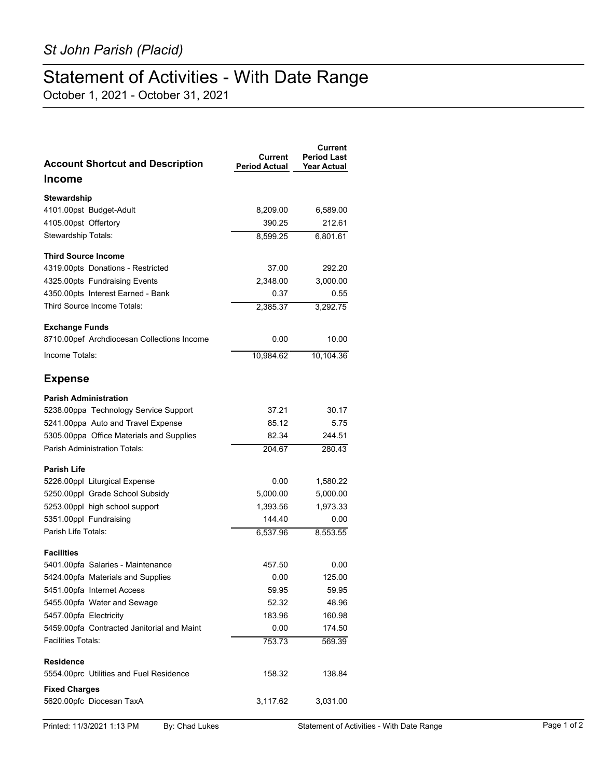## Statement of Activities - With Date Range

October 1, 2021 - October 31, 2021

| <b>Account Shortcut and Description</b>    | Current<br><b>Period Actual</b> | Current<br><b>Period Last</b><br><b>Year Actual</b> |
|--------------------------------------------|---------------------------------|-----------------------------------------------------|
| <b>Income</b>                              |                                 |                                                     |
| <b>Stewardship</b>                         |                                 |                                                     |
| 4101.00pst Budget-Adult                    | 8,209.00                        | 6,589.00                                            |
| 4105.00pst Offertory                       | 390.25                          | 212.61                                              |
| Stewardship Totals:                        | 8,599.25                        | 6,801.61                                            |
| <b>Third Source Income</b>                 |                                 |                                                     |
| 4319.00pts Donations - Restricted          | 37.00                           | 292.20                                              |
| 4325.00pts Fundraising Events              | 2,348.00                        | 3,000.00                                            |
| 4350.00pts Interest Earned - Bank          | 0.37                            | 0.55                                                |
| Third Source Income Totals:                | 2,385.37                        | 3,292.75                                            |
| <b>Exchange Funds</b>                      |                                 |                                                     |
| 8710.00pef Archdiocesan Collections Income | 0.00                            | 10.00                                               |
| Income Totals:                             | 10.984.62                       | 10.104.36                                           |
| <b>Expense</b>                             |                                 |                                                     |
| <b>Parish Administration</b>               |                                 |                                                     |
| 5238.00ppa Technology Service Support      | 37.21                           | 30.17                                               |
| 5241.00ppa Auto and Travel Expense         | 85.12                           | 5.75                                                |
| 5305.00ppa Office Materials and Supplies   | 82.34                           | 244.51                                              |
| Parish Administration Totals:              | 204.67                          | 280.43                                              |
| <b>Parish Life</b>                         |                                 |                                                     |
| 5226.00ppl Liturgical Expense              | 0.00                            | 1,580.22                                            |
| 5250.00ppl Grade School Subsidy            | 5,000.00                        | 5,000.00                                            |
| 5253.00ppl high school support             | 1,393.56                        | 1,973.33                                            |
| 5351.00ppl Fundraising                     | 144.40                          | 0.00                                                |
| Parish Life Totals:                        | 6,537.96                        | 8,553.55                                            |
| <b>Facilities</b>                          |                                 |                                                     |
| 5401.00pfa Salaries - Maintenance          | 457.50                          | 0.00                                                |
| 5424.00pfa Materials and Supplies          | 0.00                            | 125.00                                              |
| 5451.00pfa Internet Access                 | 59.95                           | 59.95                                               |
| 5455.00pfa Water and Sewage                | 52.32                           | 48.96                                               |
| 5457.00pfa Electricity                     | 183.96                          | 160.98                                              |
| 5459.00pfa Contracted Janitorial and Maint | 0.00                            | 174.50                                              |
| Facilities Totals:                         | 753.73                          | 569.39                                              |
| <b>Residence</b>                           |                                 |                                                     |
| 5554 00prc Utilities and Fuel Residence    | 158.32                          | 138.84                                              |
| <b>Fixed Charges</b>                       |                                 |                                                     |
| 5620.00pfc Diocesan TaxA                   | 3,117.62                        | 3,031.00                                            |